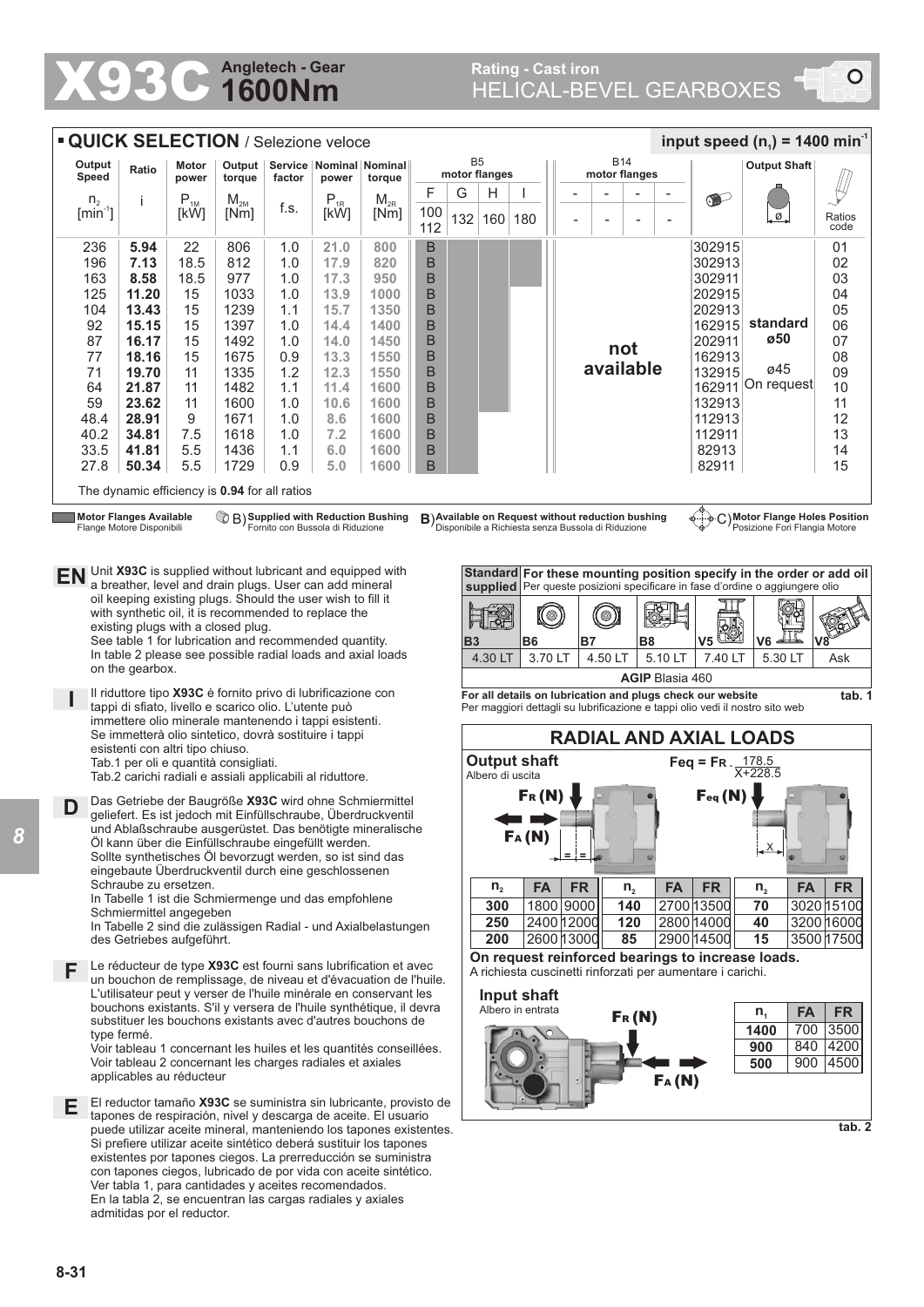## **1600Nm Angletech - Gear**

|                                                                                                                                                                                                                                                                                                                                  | <b>QUICK SELECTION / Selezione veloce</b><br>input speed $(n_1)$ = 1400 min <sup>-1</sup>                                         |                            |                                    |                  |            |                                                                                                                    |                  |                                 |     |                                                                        |                                                                              |           |                             |                |                |                          |                                  |                                                                              |                |  |  |
|----------------------------------------------------------------------------------------------------------------------------------------------------------------------------------------------------------------------------------------------------------------------------------------------------------------------------------|-----------------------------------------------------------------------------------------------------------------------------------|----------------------------|------------------------------------|------------------|------------|--------------------------------------------------------------------------------------------------------------------|------------------|---------------------------------|-----|------------------------------------------------------------------------|------------------------------------------------------------------------------|-----------|-----------------------------|----------------|----------------|--------------------------|----------------------------------|------------------------------------------------------------------------------|----------------|--|--|
| Output<br>Ratio<br>Speed                                                                                                                                                                                                                                                                                                         |                                                                                                                                   |                            | Motor                              |                  |            | Output   Service   Nominal   Nominal                                                                               |                  | B <sub>5</sub><br>motor flanges |     |                                                                        |                                                                              |           | <b>B14</b><br>motor flanges |                |                |                          |                                  | <b>Output Shaft</b>                                                          |                |  |  |
|                                                                                                                                                                                                                                                                                                                                  |                                                                                                                                   |                            | power                              | torque           | factor     | power                                                                                                              | torque           | F                               | G   | Н                                                                      |                                                                              |           |                             |                |                |                          |                                  |                                                                              |                |  |  |
| n <sub>2</sub><br>$[min^{-1}]$                                                                                                                                                                                                                                                                                                   |                                                                                                                                   | j                          | $\mathsf{P}_{\textsc{1M}}$<br>[kW] | $M_{2M}$<br>[Nm] | f.s.       | $P_{1R}$<br>[kW]                                                                                                   | $M_{2R}$<br>[Nm] | 100<br>112                      | 132 | 160                                                                    | 180                                                                          |           |                             | $\overline{a}$ |                | $\overline{\phantom{0}}$ | of the                           | .ø.                                                                          | Ratios<br>code |  |  |
|                                                                                                                                                                                                                                                                                                                                  | 236                                                                                                                               | 5.94                       | 22                                 | 806              | 1.0        | 21.0                                                                                                               | 800              | B                               |     |                                                                        |                                                                              |           |                             |                |                |                          | 302915                           |                                                                              | 01             |  |  |
| 196                                                                                                                                                                                                                                                                                                                              |                                                                                                                                   | 7.13                       | 18.5                               | 812              | 1.0        | 17.9                                                                                                               | 820              | B                               |     |                                                                        |                                                                              |           |                             |                |                |                          | 302913                           |                                                                              | 02             |  |  |
| 163                                                                                                                                                                                                                                                                                                                              | 125                                                                                                                               | 8.58<br>11.20              | 18.5<br>15                         | 977<br>1033      | 1.0<br>1.0 | 17.3<br>13.9                                                                                                       | 950<br>1000      | B<br>B                          |     |                                                                        |                                                                              |           |                             |                |                |                          | 302911<br>202915                 |                                                                              | 03<br>04       |  |  |
| 104                                                                                                                                                                                                                                                                                                                              |                                                                                                                                   | 13.43                      | 15                                 | 1239             | 1.1        | 15.7                                                                                                               | 1350             | B                               |     |                                                                        |                                                                              |           |                             |                |                |                          | 202913                           |                                                                              | 05             |  |  |
| 92                                                                                                                                                                                                                                                                                                                               |                                                                                                                                   | 15.15                      | 15                                 | 1397             | 1.0        | 14.4                                                                                                               | 1400             | B                               |     |                                                                        |                                                                              |           |                             |                |                |                          | 162915                           | standard                                                                     | 06             |  |  |
| 87                                                                                                                                                                                                                                                                                                                               |                                                                                                                                   | 16.17                      | 15                                 | 1492             | 1.0        | 14.0                                                                                                               | 1450             | B                               |     |                                                                        |                                                                              |           |                             |                | not            |                          | 202911                           | ø50                                                                          | 07             |  |  |
| 77                                                                                                                                                                                                                                                                                                                               |                                                                                                                                   | 18.16                      | 15                                 | 1675             | 0.9        | 13.3                                                                                                               | 1550             | B                               |     |                                                                        |                                                                              |           |                             | available      |                |                          | 162913                           | ø45                                                                          | 08             |  |  |
| 71<br>64                                                                                                                                                                                                                                                                                                                         |                                                                                                                                   | 19.70<br>21.87             | 11<br>11                           | 1335<br>1482     | 1.2<br>1.1 | 12.3<br>11.4                                                                                                       | 1550<br>1600     | B<br>B                          |     |                                                                        |                                                                              |           |                             |                |                |                          | 132915                           | 162911 On request                                                            | 09<br>10       |  |  |
| 59                                                                                                                                                                                                                                                                                                                               |                                                                                                                                   | 23.62                      | 11                                 | 1600             | 1.0        | 10.6                                                                                                               | 1600             | B                               |     |                                                                        |                                                                              |           |                             |                |                |                          | 132913                           |                                                                              | 11             |  |  |
| 48.4                                                                                                                                                                                                                                                                                                                             |                                                                                                                                   | 28.91                      | 9                                  | 1671             | 1.0        | 8.6                                                                                                                | 1600             | B                               |     |                                                                        |                                                                              |           |                             |                |                |                          | 112913                           |                                                                              | 12             |  |  |
| 40.2                                                                                                                                                                                                                                                                                                                             |                                                                                                                                   | 34.81                      | 7.5                                | 1618             | 1.0        | 7.2                                                                                                                | 1600             | B                               |     |                                                                        |                                                                              |           |                             |                |                |                          | 112911                           |                                                                              | 13             |  |  |
| 33.5                                                                                                                                                                                                                                                                                                                             |                                                                                                                                   | 41.81                      | 5.5                                | 1436             | 1.1        | 6.0                                                                                                                | 1600             | B                               |     |                                                                        |                                                                              |           |                             |                |                |                          | 82913                            |                                                                              | 14             |  |  |
| 27.8                                                                                                                                                                                                                                                                                                                             |                                                                                                                                   | 50.34                      | 5.5                                | 1729             | 0.9        | 5.0                                                                                                                | 1600             | B                               |     |                                                                        |                                                                              |           |                             |                |                |                          | 82911                            |                                                                              | 15             |  |  |
| The dynamic efficiency is 0.94 for all ratios                                                                                                                                                                                                                                                                                    |                                                                                                                                   |                            |                                    |                  |            |                                                                                                                    |                  |                                 |     |                                                                        |                                                                              |           |                             |                |                |                          |                                  |                                                                              |                |  |  |
| <b>Motor Flanges Available</b><br><sup>7</sup> B) Supplied with Reduction Bushing<br>Fornito con Bussola di Riduzione<br>C) Motor Flange Holes Position<br>B) Available on Request without reduction bushing<br>Disponibile a Richiesta senza Bussola di Riduzione<br>Posizione Fori Flangia Motore<br>Flange Motore Disponibili |                                                                                                                                   |                            |                                    |                  |            |                                                                                                                    |                  |                                 |     |                                                                        |                                                                              |           |                             |                |                |                          |                                  |                                                                              |                |  |  |
| EN                                                                                                                                                                                                                                                                                                                               | Unit X93C is supplied without lubricant and equipped with<br>Standard For these mounting position specify in the order or add oil |                            |                                    |                  |            |                                                                                                                    |                  |                                 |     |                                                                        |                                                                              |           |                             |                |                |                          |                                  |                                                                              |                |  |  |
| a breather, level and drain plugs. User can add mineral<br>oil keeping existing plugs. Should the user wish to fill it                                                                                                                                                                                                           |                                                                                                                                   |                            |                                    |                  |            |                                                                                                                    |                  |                                 |     |                                                                        |                                                                              |           |                             |                |                |                          |                                  | supplied Per queste posizioni specificare in fase d'ordine o aggiungere olio |                |  |  |
| with synthetic oil, it is recommended to replace the                                                                                                                                                                                                                                                                             |                                                                                                                                   |                            |                                    |                  |            |                                                                                                                    |                  |                                 |     |                                                                        |                                                                              | (©)       |                             | $\circledcirc$ |                |                          |                                  |                                                                              |                |  |  |
| existing plugs with a closed plug.<br>See table 1 for lubrication and recommended quantity.                                                                                                                                                                                                                                      |                                                                                                                                   |                            |                                    |                  |            |                                                                                                                    |                  |                                 |     |                                                                        |                                                                              | <b>B7</b> |                             |                |                | V <sub>5</sub>           | V6                               |                                                                              |                |  |  |
|                                                                                                                                                                                                                                                                                                                                  |                                                                                                                                   |                            |                                    |                  |            | In table 2 please see possible radial loads and axial loads                                                        |                  |                                 | B3  | 4.30 LT                                                                | <b>B6</b>                                                                    | 3.70 LT   |                             | 4.50 LT        | B <sub>8</sub> | 5.10 LT                  | 7.40 LT                          | 5.30 LT                                                                      | Ask            |  |  |
| on the gearbox.                                                                                                                                                                                                                                                                                                                  |                                                                                                                                   |                            |                                    |                  |            |                                                                                                                    |                  |                                 |     |                                                                        |                                                                              |           |                             |                |                |                          |                                  |                                                                              |                |  |  |
| <b>AGIP Blasia 460</b><br>Il riduttore tipo X93C è fornito privo di lubrificazione con<br>For all details on lubrication and plugs check our website                                                                                                                                                                             |                                                                                                                                   |                            |                                    |                  |            |                                                                                                                    |                  |                                 |     |                                                                        |                                                                              |           |                             |                | tab. 1         |                          |                                  |                                                                              |                |  |  |
| tappi di sfiato, livello e scarico olio. L'utente può<br>immettere olio minerale mantenendo i tappi esistenti.<br>Se immetterà olio sintetico, dovrà sostituire i tappi<br>esistenti con altri tipo chiuso.                                                                                                                      |                                                                                                                                   |                            |                                    |                  |            |                                                                                                                    |                  |                                 |     |                                                                        | Per maggiori dettagli su lubrificazione e tappi olio vedi il nostro sito web |           |                             |                |                |                          |                                  |                                                                              |                |  |  |
|                                                                                                                                                                                                                                                                                                                                  |                                                                                                                                   |                            |                                    |                  |            |                                                                                                                    |                  |                                 |     |                                                                        | <b>RADIAL AND AXIAL LOADS</b><br><b>Output shaft</b>                         |           |                             |                |                |                          |                                  |                                                                              |                |  |  |
|                                                                                                                                                                                                                                                                                                                                  | Tab.1 per oli e quantità consigliati.<br>Albero di uscita<br>Tab.2 carichi radiali e assiali applicabili al riduttore.            |                            |                                    |                  |            |                                                                                                                    |                  |                                 |     |                                                                        |                                                                              |           |                             |                |                |                          | Feq = FR $\frac{178.5}{X+228.5}$ |                                                                              |                |  |  |
| Feq(N)<br>Fr(M)<br>Das Getriebe der Baugröße X93C wird ohne Schmiermittel<br>D                                                                                                                                                                                                                                                   |                                                                                                                                   |                            |                                    |                  |            |                                                                                                                    |                  |                                 |     |                                                                        |                                                                              |           |                             |                |                |                          |                                  |                                                                              |                |  |  |
|                                                                                                                                                                                                                                                                                                                                  | geliefert. Es ist jedoch mit Einfüllschraube, Überdruckventil<br>und Ablaßschraube ausgerüstet. Das benötigte mineralische        |                            |                                    |                  |            |                                                                                                                    |                  |                                 |     |                                                                        |                                                                              |           |                             |                |                |                          |                                  |                                                                              |                |  |  |
|                                                                                                                                                                                                                                                                                                                                  | FA(N)<br>Öl kann über die Einfüllschraube eingefüllt werden.<br>X<br>$=$ $=$                                                      |                            |                                    |                  |            |                                                                                                                    |                  |                                 |     |                                                                        |                                                                              |           |                             |                |                |                          |                                  |                                                                              |                |  |  |
|                                                                                                                                                                                                                                                                                                                                  | Sollte synthetisches Öl bevorzugt werden, so ist sind das<br>eingebaute Überdruckventil durch eine geschlossenen                  |                            |                                    |                  |            |                                                                                                                    |                  |                                 |     |                                                                        |                                                                              |           |                             |                |                |                          |                                  |                                                                              |                |  |  |
|                                                                                                                                                                                                                                                                                                                                  |                                                                                                                                   | Schraube zu ersetzen.      |                                    |                  |            |                                                                                                                    |                  |                                 |     | $n_{2}$                                                                | <b>FA</b>                                                                    |           | <b>FR</b>                   |                | n <sub>2</sub> | <b>FA</b>                | <b>FR</b>                        | <b>FA</b><br>n <sub>2</sub>                                                  | <b>FR</b>      |  |  |
| In Tabelle 1 ist die Schmiermenge und das empfohlene<br>1800 9000<br>140<br>300<br>Schmiermittel angegeben<br>2400 12000<br>250<br>120<br>In Tabelle 2 sind die zulässigen Radial - und Axialbelastungen                                                                                                                         |                                                                                                                                   |                            |                                    |                  |            |                                                                                                                    |                  |                                 |     |                                                                        | 2700 13500<br>2800 14000                                                     | 70<br>40  | 3020 15100<br>3200 16000    |                |                |                          |                                  |                                                                              |                |  |  |
|                                                                                                                                                                                                                                                                                                                                  |                                                                                                                                   | des Getriebes aufgeführt.  |                                    |                  |            |                                                                                                                    |                  |                                 |     | 200                                                                    |                                                                              |           | 2600 13000                  |                | 85             |                          | 2900 14500                       | 15                                                                           | 3500 17500     |  |  |
| On request reinforced bearings to increase loads.<br>Le réducteur de type X93C est fourni sans lubrification et avec<br>F<br>A richiesta cuscinetti rinforzati per aumentare i carichi.                                                                                                                                          |                                                                                                                                   |                            |                                    |                  |            |                                                                                                                    |                  |                                 |     |                                                                        |                                                                              |           |                             |                |                |                          |                                  |                                                                              |                |  |  |
| un bouchon de remplissage, de niveau et d'évacuation de l'huile.<br>L'utilisateur peut y verser de l'huile minérale en conservant les<br>Input shaft                                                                                                                                                                             |                                                                                                                                   |                            |                                    |                  |            |                                                                                                                    |                  |                                 |     |                                                                        |                                                                              |           |                             |                |                |                          |                                  |                                                                              |                |  |  |
| bouchons existants. S'il y versera de l'huile synthétique, il devra<br>substituer les bouchons existants avec d'autres bouchons de                                                                                                                                                                                               |                                                                                                                                   |                            |                                    |                  |            |                                                                                                                    |                  |                                 |     | Albero in entrata<br><b>FA</b><br><b>FR</b><br>n <sub>1</sub><br>Fr(N) |                                                                              |           |                             |                |                |                          |                                  |                                                                              |                |  |  |
|                                                                                                                                                                                                                                                                                                                                  |                                                                                                                                   | type fermé.                |                                    |                  |            |                                                                                                                    |                  |                                 |     | 3500<br>700<br>1400                                                    |                                                                              |           |                             |                |                |                          |                                  |                                                                              |                |  |  |
| Voir tableau 1 concernant les huiles et les quantités conseillées.                                                                                                                                                                                                                                                               |                                                                                                                                   |                            |                                    |                  |            |                                                                                                                    |                  |                                 |     | 840<br>4200<br>900                                                     |                                                                              |           |                             |                |                |                          |                                  |                                                                              |                |  |  |
| Voir tableau 2 concernant les charges radiales et axiales<br>500<br>applicables au réducteur<br>FA(N)                                                                                                                                                                                                                            |                                                                                                                                   |                            |                                    |                  |            |                                                                                                                    |                  |                                 |     |                                                                        |                                                                              |           | 900                         | 4500           |                |                          |                                  |                                                                              |                |  |  |
|                                                                                                                                                                                                                                                                                                                                  |                                                                                                                                   |                            |                                    |                  |            |                                                                                                                    |                  |                                 |     |                                                                        |                                                                              |           |                             |                |                |                          |                                  |                                                                              |                |  |  |
| El reductor tamaño X93C se suministra sin lubricante, provisto de<br>Е.<br>tapones de respiración, nivel y descarga de aceite. El usuario                                                                                                                                                                                        |                                                                                                                                   |                            |                                    |                  |            |                                                                                                                    |                  |                                 |     |                                                                        |                                                                              |           |                             |                |                |                          |                                  |                                                                              |                |  |  |
| puede utilizar aceite mineral, manteniendo los tapones existentes.                                                                                                                                                                                                                                                               |                                                                                                                                   |                            |                                    |                  |            |                                                                                                                    |                  |                                 |     |                                                                        |                                                                              | tab. 2    |                             |                |                |                          |                                  |                                                                              |                |  |  |
| Si prefiere utilizar aceite sintético deberá sustituir los tapones<br>existentes por tapones ciegos. La prerreducción se suministra                                                                                                                                                                                              |                                                                                                                                   |                            |                                    |                  |            |                                                                                                                    |                  |                                 |     |                                                                        |                                                                              |           |                             |                |                |                          |                                  |                                                                              |                |  |  |
| con tapones ciegos, lubricado de por vida con aceite sintético.                                                                                                                                                                                                                                                                  |                                                                                                                                   |                            |                                    |                  |            |                                                                                                                    |                  |                                 |     |                                                                        |                                                                              |           |                             |                |                |                          |                                  |                                                                              |                |  |  |
|                                                                                                                                                                                                                                                                                                                                  |                                                                                                                                   |                            |                                    |                  |            | Ver tabla 1, para cantidades y aceites recomendados.<br>En la tabla 2, se encuentran las cargas radiales y axiales |                  |                                 |     |                                                                        |                                                                              |           |                             |                |                |                          |                                  |                                                                              |                |  |  |
|                                                                                                                                                                                                                                                                                                                                  |                                                                                                                                   | admitidas por el reductor. |                                    |                  |            |                                                                                                                    |                  |                                 |     |                                                                        |                                                                              |           |                             |                |                |                          |                                  |                                                                              |                |  |  |